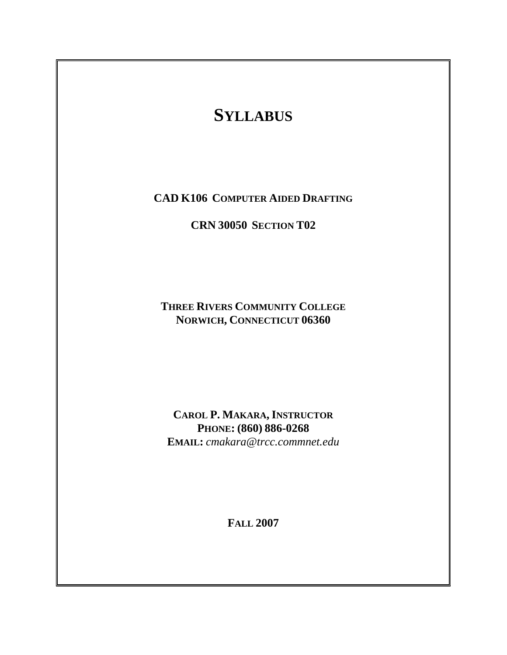# **SYLLABUS**

**CAD K106 COMPUTER AIDED DRAFTING**

**CRN 30050 SECTION T02** 

**THREE RIVERS COMMUNITY COLLEGE NORWICH, CONNECTICUT 06360** 

**CAROL P. MAKARA, INSTRUCTOR PHONE: (860) 886-0268 EMAIL:** *cmakara@trcc.commnet.edu*

**FALL 2007**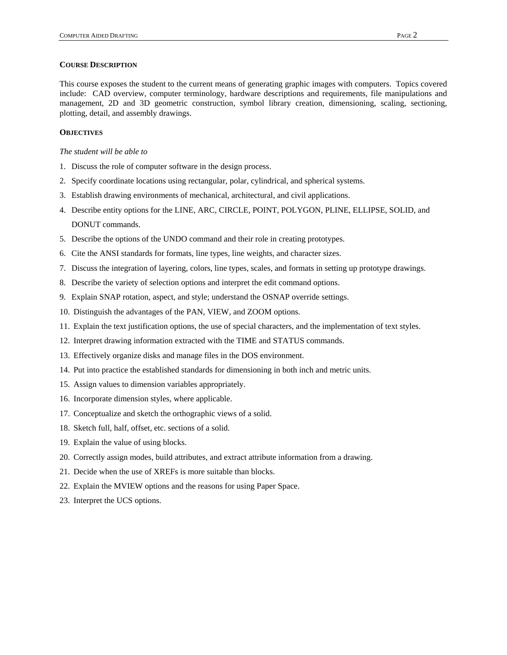This course exposes the student to the current means of generating graphic images with computers. Topics covered include: CAD overview, computer terminology, hardware descriptions and requirements, file manipulations and management, 2D and 3D geometric construction, symbol library creation, dimensioning, scaling, sectioning, plotting, detail, and assembly drawings.

# **OBJECTIVES**

## *The student will be able to*

- 1. Discuss the role of computer software in the design process.
- 2. Specify coordinate locations using rectangular, polar, cylindrical, and spherical systems.
- 3. Establish drawing environments of mechanical, architectural, and civil applications.
- 4. Describe entity options for the LINE, ARC, CIRCLE, POINT, POLYGON, PLINE, ELLIPSE, SOLID, and DONUT commands.
- 5. Describe the options of the UNDO command and their role in creating prototypes.
- 6. Cite the ANSI standards for formats, line types, line weights, and character sizes.
- 7. Discuss the integration of layering, colors, line types, scales, and formats in setting up prototype drawings.
- 8. Describe the variety of selection options and interpret the edit command options.
- 9. Explain SNAP rotation, aspect, and style; understand the OSNAP override settings.
- 10. Distinguish the advantages of the PAN, VIEW, and ZOOM options.
- 11. Explain the text justification options, the use of special characters, and the implementation of text styles.
- 12. Interpret drawing information extracted with the TIME and STATUS commands.
- 13. Effectively organize disks and manage files in the DOS environment.
- 14. Put into practice the established standards for dimensioning in both inch and metric units.
- 15. Assign values to dimension variables appropriately.
- 16. Incorporate dimension styles, where applicable.
- 17. Conceptualize and sketch the orthographic views of a solid.
- 18. Sketch full, half, offset, etc. sections of a solid.
- 19. Explain the value of using blocks.
- 20. Correctly assign modes, build attributes, and extract attribute information from a drawing.
- 21. Decide when the use of XREFs is more suitable than blocks.
- 22. Explain the MVIEW options and the reasons for using Paper Space.
- 23. Interpret the UCS options.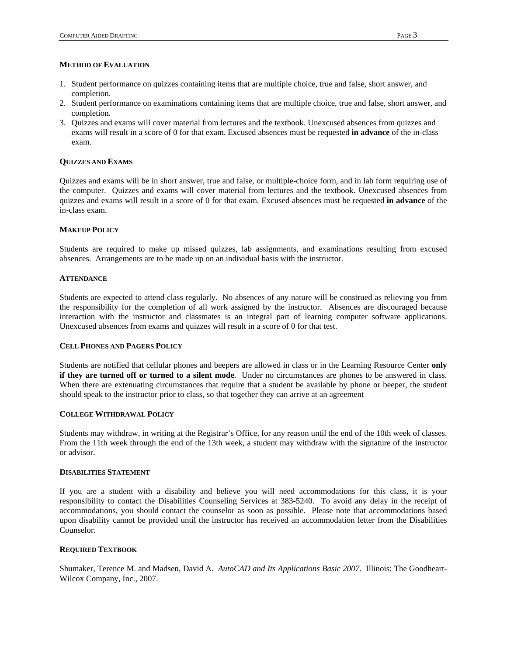#### **METHOD OF EVALUATION**

- 1. Student performance on quizzes containing items that are multiple choice, true and false, short answer, and completion.
- 2. Student performance on examinations containing items that are multiple choice, true and false, short answer, and completion.
- 3. Quizzes and exams will cover material from lectures and the textbook. Unexcused absences from quizzes and exams will result in a score of 0 for that exam. Excused absences must be requested **in advance** of the in-class exam.

## **QUIZZES AND EXAMS**

Quizzes and exams will be in short answer, true and false, or multiple-choice form, and in lab form requiring use of the computer. Quizzes and exams will cover material from lectures and the textbook. Unexcused absences from quizzes and exams will result in a score of 0 for that exam. Excused absences must be requested **in advance** of the in-class exam.

#### **MAKEUP POLICY**

Students are required to make up missed quizzes, lab assignments, and examinations resulting from excused absences. Arrangements are to be made up on an individual basis with the instructor.

## **ATTENDANCE**

Students are expected to attend class regularly. No absences of any nature will be construed as relieving you from the responsibility for the completion of all work assigned by the instructor. Absences are discouraged because interaction with the instructor and classmates is an integral part of learning computer software applications. Unexcused absences from exams and quizzes will result in a score of 0 for that test.

# **CELL PHONES AND PAGERS POLICY**

Students are notified that cellular phones and beepers are allowed in class or in the Learning Resource Center **only if they are turned off or turned to a silent mode**. Under no circumstances are phones to be answered in class. When there are extenuating circumstances that require that a student be available by phone or beeper, the student should speak to the instructor prior to class, so that together they can arrive at an agreement

# **COLLEGE WITHDRAWAL POLICY**

Students may withdraw, in writing at the Registrar's Office, for any reason until the end of the 10th week of classes. From the 11th week through the end of the 13th week, a student may withdraw with the signature of the instructor or advisor.

## **DISABILITIES STATEMENT**

If you are a student with a disability and believe you will need accommodations for this class, it is your responsibility to contact the Disabilities Counseling Services at 383-5240. To avoid any delay in the receipt of accommodations, you should contact the counselor as soon as possible. Please note that accommodations based upon disability cannot be provided until the instructor has received an accommodation letter from the Disabilities Counselor.

## **REQUIRED TEXTBOOK**

Shumaker, Terence M. and Madsen, David A. *AutoCAD and Its Applications Basic 2007*. Illinois: The Goodheart-Wilcox Company, Inc., 2007.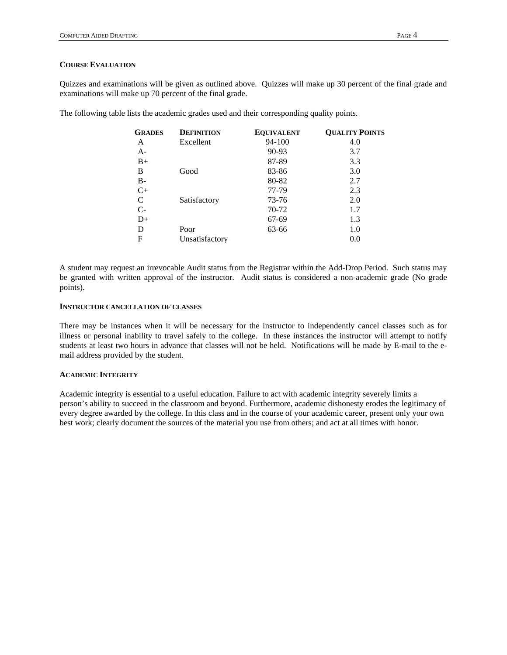## **COURSE EVALUATION**

Quizzes and examinations will be given as outlined above. Quizzes will make up 30 percent of the final grade and examinations will make up 70 percent of the final grade.

The following table lists the academic grades used and their corresponding quality points.

| <b>GRADES</b> | <b>DEFINITION</b> | <b>EQUIVALENT</b> | <b>QUALITY POINTS</b> |
|---------------|-------------------|-------------------|-----------------------|
| A             | Excellent         | 94-100            | 4.0                   |
| $A-$          |                   | 90-93             | 3.7                   |
| $B+$          |                   | 87-89             | 3.3                   |
| B             | Good              | 83-86             | 3.0                   |
| <b>B-</b>     |                   | 80-82             | 2.7                   |
| $C+$          |                   | 77-79             | 2.3                   |
| C             | Satisfactory      | 73-76             | 2.0                   |
| $C-$          |                   | 70-72             | 1.7                   |
| $D+$          |                   | 67-69             | 1.3                   |
| D             | Poor              | 63-66             | 1.0                   |
| F             | Unsatisfactory    |                   | 0.0                   |

A student may request an irrevocable Audit status from the Registrar within the Add-Drop Period. Such status may be granted with written approval of the instructor. Audit status is considered a non-academic grade (No grade points).

### **INSTRUCTOR CANCELLATION OF CLASSES**

There may be instances when it will be necessary for the instructor to independently cancel classes such as for illness or personal inability to travel safely to the college. In these instances the instructor will attempt to notify students at least two hours in advance that classes will not be held. Notifications will be made by E-mail to the email address provided by the student.

## **ACADEMIC INTEGRITY**

Academic integrity is essential to a useful education. Failure to act with academic integrity severely limits a person's ability to succeed in the classroom and beyond. Furthermore, academic dishonesty erodes the legitimacy of every degree awarded by the college. In this class and in the course of your academic career, present only your own best work; clearly document the sources of the material you use from others; and act at all times with honor.